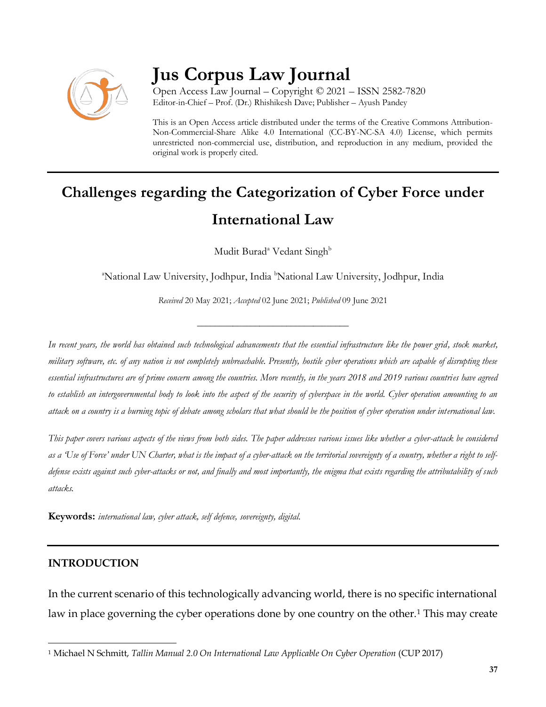

# **Jus Corpus Law Journal**

Open Access Law Journal – Copyright © 2021 – ISSN 2582-7820 Editor-in-Chief – Prof. (Dr.) Rhishikesh Dave; Publisher – Ayush Pandey

This is an Open Access article distributed under the terms of the Creative Commons Attribution-Non-Commercial-Share Alike 4.0 International (CC-BY-NC-SA 4.0) License, which permits unrestricted non-commercial use, distribution, and reproduction in any medium, provided the original work is properly cited.

## **Challenges regarding the Categorization of Cyber Force under International Law**

Mudit Burad<sup>a</sup> Vedant Singh<sup>b</sup>

<sup>a</sup>National Law University, Jodhpur, India <sup>b</sup>National Law University, Jodhpur, India

*Received* 20 May 2021; *Accepted* 02 June 2021; *Published* 09 June 2021

\_\_\_\_\_\_\_\_\_\_\_\_\_\_\_\_\_\_\_\_\_\_\_\_\_\_\_\_\_\_\_\_\_\_

*In recent years, the world has obtained such technological advancements that the essential infrastructure like the power grid, stock market, military software, etc. of any nation is not completely unbreachable. Presently, hostile cyber operations which are capable of disrupting these essential infrastructures are of prime concern among the countries. More recently, in the years 2018 and 2019 various countries have agreed to establish an intergovernmental body to look into the aspect of the security of cyberspace in the world. Cyber operation amounting to an attack on a country is a burning topic of debate among scholars that what should be the position of cyber operation under international law.*

*This paper covers various aspects of the views from both sides. The paper addresses various issues like whether a cyber-attack be considered as a 'Use of Force' under UN Charter, what is the impact of a cyber-attack on the territorial sovereignty of a country, whether a right to selfdefense exists against such cyber-attacks or not, and finally and most importantly, the enigma that exists regarding the attributability of such attacks.* 

**Keywords:** *international law, cyber attack, self defence, sovereignty, digital.*

#### **INTRODUCTION**

In the current scenario of this technologically advancing world, there is no specific international law in place governing the cyber operations done by one country on the other.<sup>1</sup> This may create

 $\overline{\phantom{a}}$ <sup>1</sup> Michael N Schmitt, *Tallin Manual 2.0 On International Law Applicable On Cyber Operation* (CUP 2017)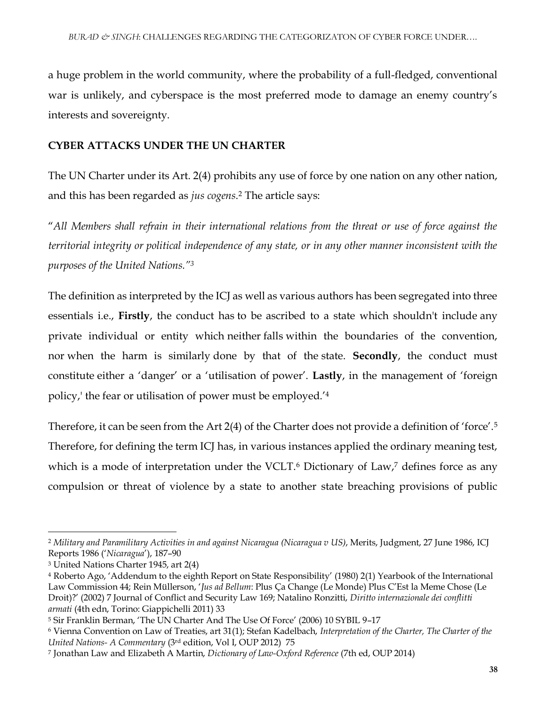a huge problem in the world community, where the probability of a full-fledged, conventional war is unlikely, and cyberspace is the most preferred mode to damage an enemy country's interests and sovereignty.

#### **CYBER ATTACKS UNDER THE UN CHARTER**

The UN Charter under its Art. 2(4) prohibits any use of force by one nation on any other nation, and this has been regarded as *jus cogens*. <sup>2</sup> The article says:

"*All Members shall refrain in their international relations from the threat or use of force against the territorial integrity or political independence of any state, or in any other manner inconsistent with the purposes of the United Nations."<sup>3</sup>*

The definition as interpreted by the ICJ as well as various authors has been segregated into three essentials i.e., **Firstly**, the conduct has to be ascribed to a state which shouldn't include any private individual or entity which neither falls within the boundaries of the convention, nor when the harm is similarly done by that of the state. **Secondly**, the conduct must constitute either a 'danger' or a 'utilisation of power'. **Lastly**, in the management of 'foreign policy,' the fear or utilisation of power must be employed.'<sup>4</sup>

Therefore, it can be seen from the Art 2(4) of the Charter does not provide a definition of 'force'.<sup>5</sup> Therefore, for defining the term ICJ has, in various instances applied the ordinary meaning test, which is a mode of interpretation under the VCLT.<sup>6</sup> Dictionary of Law,<sup>7</sup> defines force as any compulsion or threat of violence by a state to another state breaching provisions of public

<sup>2</sup> *Military and Paramilitary Activities in and against Nicaragua (Nicaragua v US)*, Merits, Judgment, 27 June 1986, ICJ Reports 1986 ('*Nicaragua*'), 187–90

<sup>3</sup> United Nations Charter 1945, art 2(4)

<sup>4</sup> Roberto Ago, 'Addendum to the eighth Report on State Responsibility' (1980) 2(1) Yearbook of the International Law Commission 44; Rein Müllerson, '*Jus ad Bellum*: Plus Ça Change (Le Monde) Plus C'Est la Meme Chose (Le Droit)?' (2002) 7 Journal of Conflict and Security Law 169; Natalino Ronzitti, *Diritto internazionale dei conflitti armati* (4th edn, Torino: Giappichelli 2011) 33

<sup>5</sup> Sir Franklin Berman, 'The UN Charter And The Use Of Force' (2006) 10 SYBIL 9–17

<sup>6</sup> Vienna Convention on Law of Treaties, art 31(1); Stefan Kadelbach, *Interpretation of the Charter, The Charter of the United Nations- A Commentary* (3rd edition, Vol I, OUP 2012) 75

<sup>7</sup> Jonathan Law and Elizabeth A Martin, *Dictionary of Law-Oxford Reference* (7th ed, OUP 2014)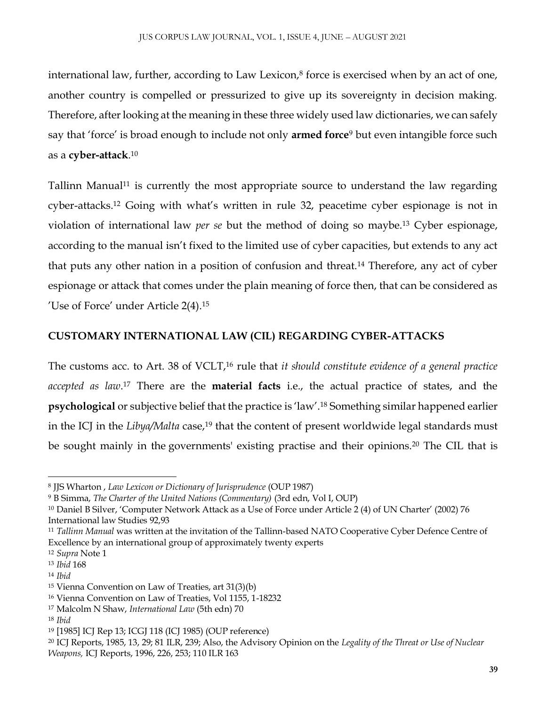international law, further, according to Law Lexicon, $8$  force is exercised when by an act of one, another country is compelled or pressurized to give up its sovereignty in decision making. Therefore, after looking at the meaning in these three widely used law dictionaries, we can safely say that 'force' is broad enough to include not only **armed force**<sup>9</sup> but even intangible force such as a **cyber-attack**. 10

Tallinn Manual<sup>11</sup> is currently the most appropriate source to understand the law regarding cyber-attacks.<sup>12</sup> Going with what's written in rule 32, peacetime cyber espionage is not in violation of international law *per se* but the method of doing so maybe.<sup>13</sup> Cyber espionage, according to the manual isn't fixed to the limited use of cyber capacities, but extends to any act that puts any other nation in a position of confusion and threat.<sup>14</sup> Therefore, any act of cyber espionage or attack that comes under the plain meaning of force then, that can be considered as 'Use of Force' under Article 2(4).<sup>15</sup>

#### **CUSTOMARY INTERNATIONAL LAW (CIL) REGARDING CYBER-ATTACKS**

The customs acc. to Art. 38 of VCLT,<sup>16</sup> rule that *it should constitute evidence of a general practice accepted as law*. <sup>17</sup> There are the **material facts** i.e., the actual practice of states, and the **psychological** or subjective belief that the practice is 'law'.<sup>18</sup> Something similar happened earlier in the ICJ in the *Libya/Malta* case,<sup>19</sup> that the content of present worldwide legal standards must be sought mainly in the governments' existing practise and their opinions.<sup>20</sup> The CIL that is

 $\overline{a}$ <sup>8</sup> JJS Wharton , *Law Lexicon or Dictionary of Jurisprudence* (OUP 1987)

<sup>9</sup> B Simma, *The Charter of the United Nations (Commentary)* (3rd edn, Vol I, OUP)

<sup>10</sup> Daniel B Silver, 'Computer Network Attack as a Use of Force under Article 2 (4) of UN Charter' (2002) 76 International law Studies 92,93

<sup>11</sup> *Tallinn Manual* was written at the invitation of the Tallinn-based NATO Cooperative Cyber Defence Centre of Excellence by an international group of approximately twenty experts

<sup>12</sup> *Supra* Note 1

<sup>13</sup> *Ibid* 168

<sup>14</sup> *Ibid*

<sup>15</sup> Vienna Convention on Law of Treaties, art 31(3)(b)

<sup>16</sup> Vienna Convention on Law of Treaties, Vol 1155, 1-18232

<sup>17</sup> Malcolm N Shaw, *International Law* (5th edn) 70

<sup>18</sup> *Ibid*

<sup>19</sup> [1985] ICJ Rep 13; ICGJ 118 (ICJ 1985) (OUP reference)

<sup>20</sup> ICJ Reports, 1985, 13, 29; 81 ILR, 239; Also, the Advisory Opinion on the *Legality of the Threat or Use of Nuclear Weapons,* ICJ Reports, 1996, 226, 253; 110 ILR 163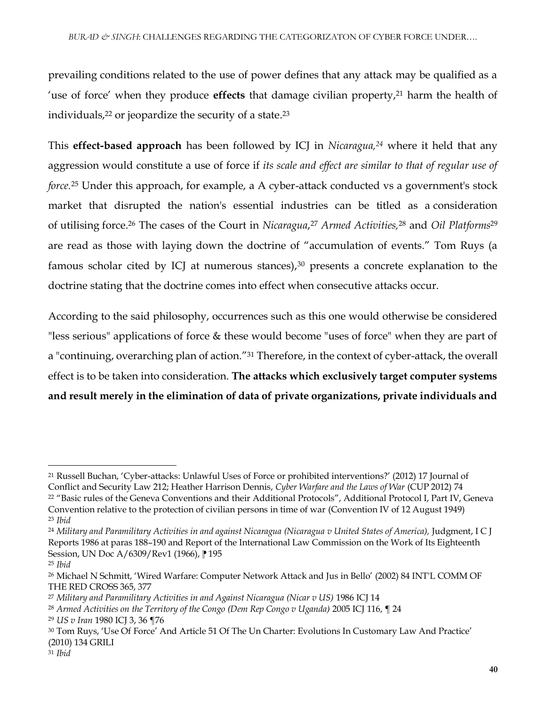prevailing conditions related to the use of power defines that any attack may be qualified as a 'use of force' when they produce **effects** that damage civilian property,<sup>21</sup> harm the health of individuals,<sup>22</sup> or jeopardize the security of a state. 23

This **effect-based approach** has been followed by ICJ in *Nicaragua,<sup>24</sup>* where it held that any aggression would constitute a use of force if *its scale and effect are similar to that of regular use of force.*<sup>25</sup> Under this approach, for example, a A cyber-attack conducted vs a government's stock market that disrupted the nation's essential industries can be titled as a consideration of utilising force.<sup>26</sup> The cases of the Court in *Nicaragua*, <sup>27</sup> *Armed Activities,*<sup>28</sup> and *Oil Platforms*<sup>29</sup> are read as those with laying down the doctrine of "accumulation of events." Tom Ruys (a famous scholar cited by ICJ at numerous stances), $30$  presents a concrete explanation to the doctrine stating that the doctrine comes into effect when consecutive attacks occur.

According to the said philosophy, occurrences such as this one would otherwise be considered "less serious" applications of force & these would become "uses of force" when they are part of a "continuing, overarching plan of action."<sup>31</sup> Therefore, in the context of cyber-attack, the overall effect is to be taken into consideration. **The attacks which exclusively target computer systems and result merely in the elimination of data of private organizations, private individuals and** 

<sup>21</sup> Russell Buchan, 'Cyber-attacks: Unlawful Uses of Force or prohibited interventions?' (2012) 17 Journal of Conflict and Security Law 212; Heather Harrison Dennis, *Cyber Warfare and the Laws of War* (CUP 2012) 74

<sup>22</sup> "Basic rules of the Geneva Conventions and their Additional Protocols", Additional Protocol I, Part IV, Geneva Convention relative to the protection of civilian persons in time of war (Convention IV of 12 August 1949) <sup>23</sup> *Ibid*

<sup>24</sup> *Military and Paramilitary Activities in and against Nicaragua (Nicaragua v United States of America),* Judgment, I C J Reports 1986 at paras 188–190 and Report of the International Law Commission on the Work of Its Eighteenth Session, UN Doc A/6309/Rev1 (1966), <sup>195</sup>

<sup>25</sup> *Ibid*

<sup>26</sup> Michael N Schmitt, 'Wired Warfare: Computer Network Attack and Jus in Bello' (2002) 84 INT'L COMM OF THE RED CROSS 365, 377

<sup>27</sup> *Military and Paramilitary Activities in and Against Nicaragua (Nicar v US)* 1986 ICJ 14

<sup>28</sup> *Armed Activities on the Territory of the Congo (Dem Rep Congo v Uganda)* 2005 ICJ 116, ¶ 24

<sup>29</sup> *US v Iran* 1980 ICJ 3, 36 ¶76

<sup>30</sup> Tom Ruys, 'Use Of Force' And Article 51 Of The Un Charter: Evolutions In Customary Law And Practice' (2010) 134 GRILI

<sup>31</sup> *Ibid*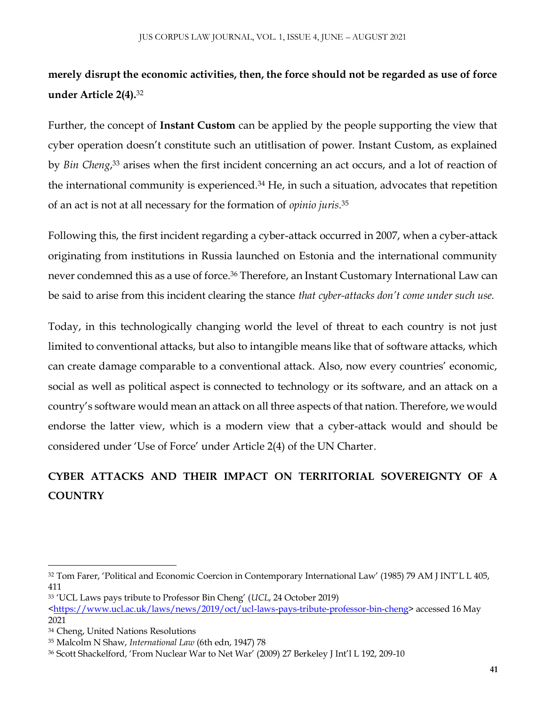### **merely disrupt the economic activities, then, the force should not be regarded as use of force under Article 2(4).**<sup>32</sup>

Further, the concept of **Instant Custom** can be applied by the people supporting the view that cyber operation doesn't constitute such an utitlisation of power. Instant Custom, as explained by *Bin Cheng*, <sup>33</sup> arises when the first incident concerning an act occurs, and a lot of reaction of the international community is experienced.<sup>34</sup> He, in such a situation, advocates that repetition of an act is not at all necessary for the formation of *opinio juris*. 35

Following this, the first incident regarding a cyber-attack occurred in 2007, when a cyber-attack originating from institutions in Russia launched on Estonia and the international community never condemned this as a use of force.<sup>36</sup> Therefore, an Instant Customary International Law can be said to arise from this incident clearing the stance *that cyber-attacks don't come under such use.*

Today, in this technologically changing world the level of threat to each country is not just limited to conventional attacks, but also to intangible means like that of software attacks, which can create damage comparable to a conventional attack. Also, now every countries' economic, social as well as political aspect is connected to technology or its software, and an attack on a country's software would mean an attack on all three aspects of that nation. Therefore, we would endorse the latter view, which is a modern view that a cyber-attack would and should be considered under 'Use of Force' under Article 2(4) of the UN Charter.

## **CYBER ATTACKS AND THEIR IMPACT ON TERRITORIAL SOVEREIGNTY OF A COUNTRY**

<sup>32</sup> Tom Farer, 'Political and Economic Coercion in Contemporary International Law' (1985) 79 AM J INT'L L 405, 411

<sup>33</sup> 'UCL Laws pays tribute to Professor Bin Cheng' (*UCL*, 24 October 2019)

[<sup>&</sup>lt;https://www.ucl.ac.uk/laws/news/2019/oct/ucl-laws-pays-tribute-professor-bin-cheng>](https://www.ucl.ac.uk/laws/news/2019/oct/ucl-laws-pays-tribute-professor-bin-cheng) accessed 16 May 2021

<sup>34</sup> Cheng, United Nations Resolutions

<sup>35</sup> Malcolm N Shaw, *International Law* (6th edn, 1947) 78

<sup>36</sup> Scott Shackelford, 'From Nuclear War to Net War' (2009) 27 Berkeley J Int'l L 192, 209-10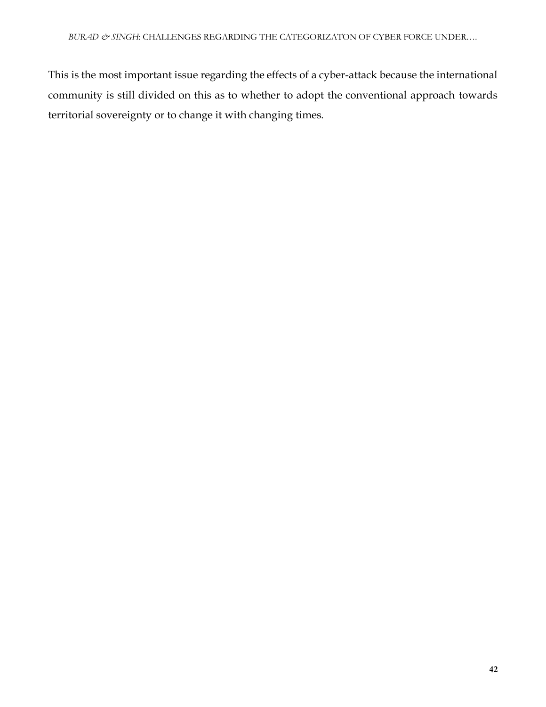This is the most important issue regarding the effects of a cyber-attack because the international community is still divided on this as to whether to adopt the conventional approach towards territorial sovereignty or to change it with changing times.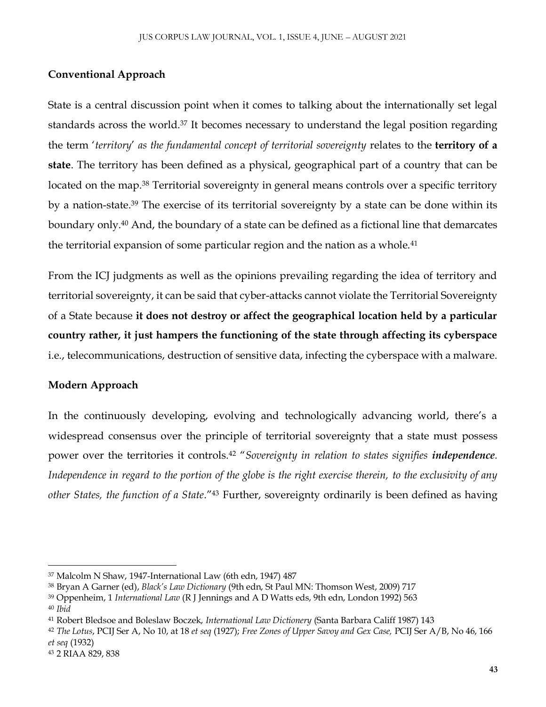#### **Conventional Approach**

State is a central discussion point when it comes to talking about the internationally set legal standards across the world.<sup>37</sup> It becomes necessary to understand the legal position regarding the term '*territory*' *as the fundamental concept of territorial sovereignty* relates to the **territory of a state**. The territory has been defined as a physical, geographical part of a country that can be located on the map.<sup>38</sup> Territorial sovereignty in general means controls over a specific territory by a nation-state.<sup>39</sup> The exercise of its territorial sovereignty by a state can be done within its boundary only.<sup>40</sup> And, the boundary of a state can be defined as a fictional line that demarcates the territorial expansion of some particular region and the nation as a whole.<sup>41</sup>

From the ICJ judgments as well as the opinions prevailing regarding the idea of territory and territorial sovereignty, it can be said that cyber-attacks cannot violate the Territorial Sovereignty of a State because **it does not destroy or affect the geographical location held by a particular country rather, it just hampers the functioning of the state through affecting its cyberspace** i.e., telecommunications, destruction of sensitive data, infecting the cyberspace with a malware.

#### **Modern Approach**

In the continuously developing, evolving and technologically advancing world, there's a widespread consensus over the principle of territorial sovereignty that a state must possess power over the territories it controls.<sup>42</sup> "*Sovereignty in relation to states signifies independence. Independence in regard to the portion of the globe is the right exercise therein, to the exclusivity of any other States, the function of a State*."<sup>43</sup> Further, sovereignty ordinarily is been defined as having

<sup>37</sup> Malcolm N Shaw, 1947-International Law (6th edn, 1947) 487

<sup>38</sup> Bryan A Garner (ed), *Black's Law Dictionary* (9th edn, St Paul MN: Thomson West, 2009) 717

<sup>39</sup> Oppenheim, 1 *International Law* (R J Jennings and A D Watts eds, 9th edn, London 1992) 563

<sup>40</sup> *Ibid*

<sup>41</sup> Robert Bledsoe and Boleslaw Boczek, *International Law Dictionery* (Santa Barbara Califf 1987) 143

<sup>42</sup> *The Lotus*, PCIJ Ser A, No 10, at 18 *et seq* (1927); *Free Zones of Upper Savoy and Gex Case,* PCIJ Ser A/B, No 46, 166 *et seq* (1932)

<sup>43</sup> 2 RIAA 829, 838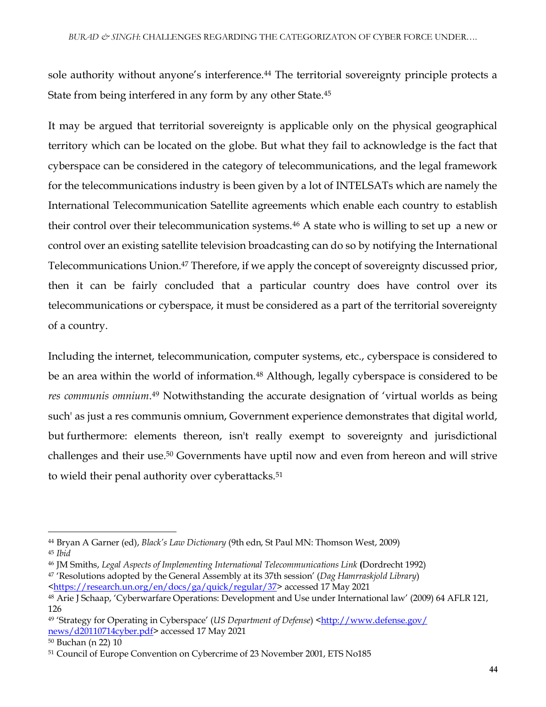sole authority without anyone's interference.<sup>44</sup> The territorial sovereignty principle protects a State from being interfered in any form by any other State.<sup>45</sup>

It may be argued that territorial sovereignty is applicable only on the physical geographical territory which can be located on the globe. But what they fail to acknowledge is the fact that cyberspace can be considered in the category of telecommunications, and the legal framework for the telecommunications industry is been given by a lot of INTELSATs which are namely the International Telecommunication Satellite agreements which enable each country to establish their control over their telecommunication systems.<sup>46</sup> A state who is willing to set up a new or control over an existing satellite television broadcasting can do so by notifying the International Telecommunications Union.<sup>47</sup> Therefore, if we apply the concept of sovereignty discussed prior, then it can be fairly concluded that a particular country does have control over its telecommunications or cyberspace, it must be considered as a part of the territorial sovereignty of a country.

Including the internet, telecommunication, computer systems, etc., cyberspace is considered to be an area within the world of information.<sup>48</sup> Although, legally cyberspace is considered to be res communis omnium.<sup>49</sup> Notwithstanding the accurate designation of 'virtual worlds as being such' as just a res communis omnium, Government experience demonstrates that digital world, but furthermore: elements thereon, isn't really exempt to sovereignty and jurisdictional challenges and their use.<sup>50</sup> Governments have uptil now and even from hereon and will strive to wield their penal authority over cyberattacks.<sup>51</sup>

<sup>50</sup> Buchan (n 22) 10

<sup>44</sup> Bryan A Garner (ed), *Black's Law Dictionary* (9th edn, St Paul MN: Thomson West, 2009) <sup>45</sup> *Ibid*

<sup>46</sup> JM Smiths, *Legal Aspects of Implementing International Telecommunications Link* **(**Dordrecht 1992)

<sup>47</sup> 'Resolutions adopted by the General Assembly at its 37th session' (*Dag Hamrraskjold Library*)

[<sup>&</sup>lt;https://research.un.org/en/docs/ga/quick/regular/37>](https://research.un.org/en/docs/ga/quick/regular/37) accessed 17 May 2021

<sup>48</sup> Arie J Schaap, 'Cyberwarfare Operations: Development and Use under International law' (2009) 64 AFLR 121, 126

<sup>49 &#</sup>x27;Strategy for Operating in Cyberspace' (*US Department of Defense*) <http://www.defense.gov/ [news/d20110714cyber.pdf>](http://www.defense.gov/%20news/d20110714cyber.pdf) accessed 17 May 2021

<sup>51</sup> Council of Europe Convention on Cybercrime of 23 November 2001, ETS No185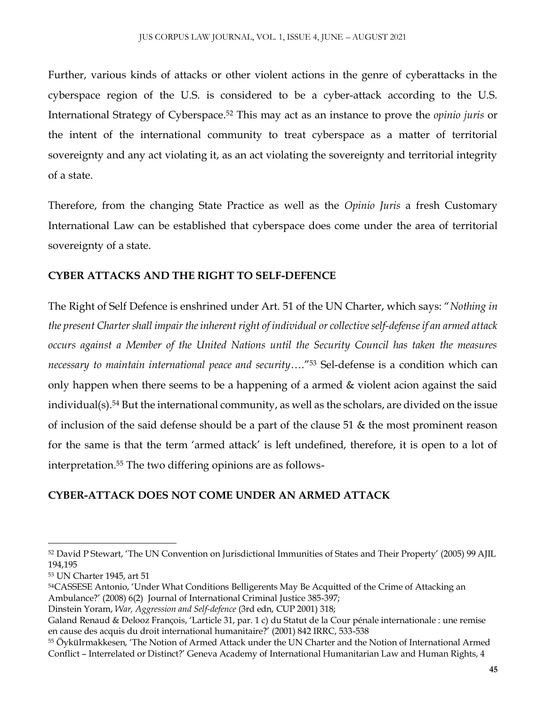Further, various kinds of attacks or other violent actions in the genre of cyberattacks in the cyberspace region of the U.S. is considered to be a cyber-attack according to the U.S. International Strategy of Cyberspace.<sup>52</sup> This may act as an instance to prove the *opinio juris* or the intent of the international community to treat cyberspace as a matter of territorial sovereignty and any act violating it, as an act violating the sovereignty and territorial integrity of a state.

Therefore, from the changing State Practice as well as the *Opinio Juris* a fresh Customary International Law can be established that cyberspace does come under the area of territorial sovereignty of a state.

#### **CYBER ATTACKS AND THE RIGHT TO SELF-DEFENCE**

The Right of Self Defence is enshrined under Art. 51 of the UN Charter, which says: "*Nothing in the present Charter shall impair the inherent right of individual or collective self-defense if an armed attack occurs against a Member of the United Nations until the Security Council has taken the measures necessary to maintain international peace and security*…."<sup>53</sup> Sel-defense is a condition which can only happen when there seems to be a happening of a armed & violent acion against the said individual(s).<sup>54</sup> But the international community, as well as the scholars, are divided on the issue of inclusion of the said defense should be a part of the clause 51 & the most prominent reason for the same is that the term 'armed attack' is left undefined, therefore, it is open to a lot of interpretation.<sup>55</sup> The two differing opinions are as follows-

### **CYBER-ATTACK DOES NOT COME UNDER AN ARMED ATTACK**

<sup>53</sup> UN Charter 1945, art 51

<sup>52</sup> David P Stewart, 'The UN Convention on Jurisdictional Immunities of States and Their Property' (2005) 99 AJIL 194,195

<sup>54</sup>CASSESE Antonio, 'Under What Conditions Belligerents May Be Acquitted of the Crime of Attacking an Ambulance?' (2008) 6(2) Journal of International Criminal Justice 385-397;

Dinstein Yoram, *War, Aggression and Self-defence* (3rd edn, CUP 2001) 318;

Galand Renaud & Delooz François, 'Larticle 31, par. 1 c) du Statut de la Cour pénale internationale : une remise en cause des acquis du droit international humanitaire?' (2001) 842 IRRC, 533-538

<sup>55</sup> ÖyküIrmakkesen, 'The Notion of Armed Attack under the UN Charter and the Notion of International Armed Conflict – Interrelated or Distinct?' Geneva Academy of International Humanitarian Law and Human Rights, 4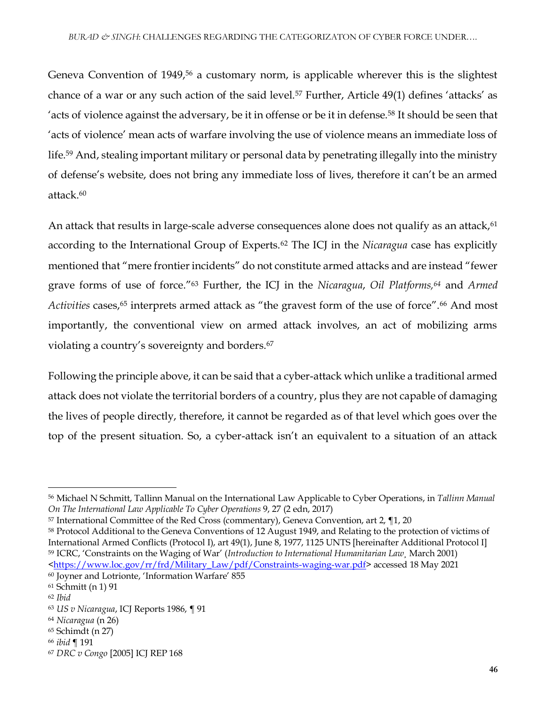Geneva Convention of 1949,<sup>56</sup> a customary norm, is applicable wherever this is the slightest chance of a war or any such action of the said level.<sup>57</sup> Further, Article 49(1) defines 'attacks' as 'acts of violence against the adversary, be it in offense or be it in defense.<sup>58</sup> It should be seen that 'acts of violence' mean acts of warfare involving the use of violence means an immediate loss of life.<sup>59</sup> And, stealing important military or personal data by penetrating illegally into the ministry of defense's website, does not bring any immediate loss of lives, therefore it can't be an armed attack.<sup>60</sup>

An attack that results in large-scale adverse consequences alone does not qualify as an attack,<sup>61</sup> according to the International Group of Experts.<sup>62</sup> The ICJ in the *Nicaragua* case has explicitly mentioned that "mere frontier incidents" do not constitute armed attacks and are instead "fewer grave forms of use of force."<sup>63</sup> Further, the ICJ in the *Nicaragua*, *Oil Platforms,<sup>64</sup>* and *Armed Activities* cases,<sup>65</sup> interprets armed attack as "the gravest form of the use of force".<sup>66</sup> And most importantly, the conventional view on armed attack involves, an act of mobilizing arms violating a country's sovereignty and borders.<sup>67</sup>

Following the principle above, it can be said that a cyber-attack which unlike a traditional armed attack does not violate the territorial borders of a country, plus they are not capable of damaging the lives of people directly, therefore, it cannot be regarded as of that level which goes over the top of the present situation. So, a cyber-attack isn't an equivalent to a situation of an attack

<sup>56</sup> Michael N Schmitt, Tallinn Manual on the International Law Applicable to Cyber Operations, in *Tallinn Manual On The International Law Applicable To Cyber Operations* 9, 27 (2 edn, 2017)

<sup>57</sup> International Committee of the Red Cross (commentary), Geneva Convention, art 2, ¶1, 20

<sup>58</sup> Protocol Additional to the Geneva Conventions of 12 August 1949, and Relating to the protection of victims of International Armed Conflicts (Protocol I), art 49(1), June 8, 1977, 1125 UNTS [hereinafter Additional Protocol I] <sup>59</sup> ICRC, 'Constraints on the Waging of War' (*Introduction to International Humanitarian Law¸* March 2001)

[<sup>&</sup>lt;https://www.loc.gov/rr/frd/Military\\_Law/pdf/Constraints-waging-war.pdf>](https://www.loc.gov/rr/frd/Military_Law/pdf/Constraints-waging-war.pdf) accessed 18 May 2021 <sup>60</sup> Joyner and Lotrionte, 'Information Warfare' 855

<sup>61</sup> Schmitt (n 1) 91

<sup>62</sup> *Ibid*

<sup>63</sup> *US v Nicaragua*, ICJ Reports 1986, ¶ 91

<sup>64</sup> *Nicaragua* (n 26)

<sup>65</sup> Schimdt (n 27)

<sup>66</sup> *ibid* ¶ 191

<sup>67</sup> *DRC v Congo* [2005] ICJ REP 168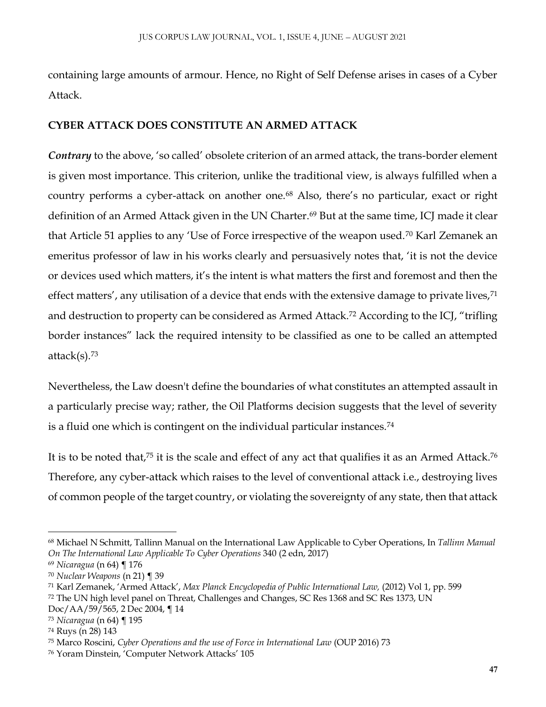containing large amounts of armour. Hence, no Right of Self Defense arises in cases of a Cyber Attack.

#### **CYBER ATTACK DOES CONSTITUTE AN ARMED ATTACK**

*Contrary* to the above, 'so called' obsolete criterion of an armed attack, the trans-border element is given most importance. This criterion, unlike the traditional view, is always fulfilled when a country performs a cyber-attack on another one.<sup>68</sup> Also, there's no particular, exact or right definition of an Armed Attack given in the UN Charter.<sup>69</sup> But at the same time, ICJ made it clear that Article 51 applies to any 'Use of Force irrespective of the weapon used.<sup>70</sup> Karl Zemanek an emeritus professor of law in his works clearly and persuasively notes that, 'it is not the device or devices used which matters, it's the intent is what matters the first and foremost and then the effect matters', any utilisation of a device that ends with the extensive damage to private lives,<sup>71</sup> and destruction to property can be considered as Armed Attack.<sup>72</sup> According to the ICJ, "trifling border instances" lack the required intensity to be classified as one to be called an attempted attack $(s)$ .<sup>73</sup>

Nevertheless, the Law doesn't define the boundaries of what constitutes an attempted assault in a particularly precise way; rather, the Oil Platforms decision suggests that the level of severity is a fluid one which is contingent on the individual particular instances.<sup>74</sup>

It is to be noted that,<sup>75</sup> it is the scale and effect of any act that qualifies it as an Armed Attack.<sup>76</sup> Therefore, any cyber-attack which raises to the level of conventional attack i.e., destroying lives of common people of the target country, or violating the sovereignty of any state, then that attack

<sup>68</sup> Michael N Schmitt, Tallinn Manual on the International Law Applicable to Cyber Operations, In *Tallinn Manual On The International Law Applicable To Cyber Operations* 340 (2 edn, 2017)

<sup>69</sup> *Nicaragua* (n 64) ¶ 176

<sup>70</sup> *Nuclear Weapons* (n 21) ¶ 39

<sup>71</sup> Karl Zemanek, 'Armed Attack', *Max Planck Encyclopedia of Public International Law,* (2012) Vol 1, pp. 599

<sup>72</sup> The UN high level panel on Threat, Challenges and Changes, SC Res 1368 and SC Res 1373, UN

Doc/AA/59/565, 2 Dec 2004, ¶ 14

<sup>73</sup> *Nicaragua* (n 64) ¶ 195

<sup>74</sup> Ruys (n 28) 143

<sup>75</sup> Marco Roscini, *Cyber Operations and the use of Force in International Law* (OUP 2016) 73

<sup>76</sup> Yoram Dinstein, 'Computer Network Attacks' 105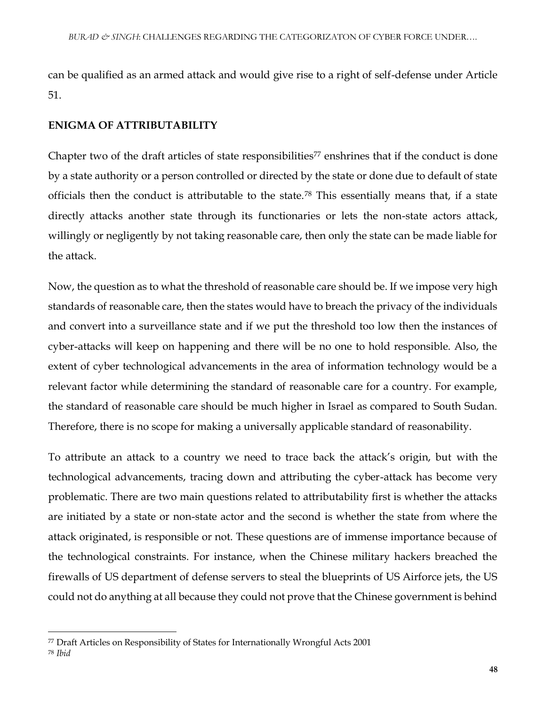can be qualified as an armed attack and would give rise to a right of self-defense under Article 51.

#### **ENIGMA OF ATTRIBUTABILITY**

Chapter two of the draft articles of state responsibilities<sup>77</sup> enshrines that if the conduct is done by a state authority or a person controlled or directed by the state or done due to default of state officials then the conduct is attributable to the state.<sup>78</sup> This essentially means that, if a state directly attacks another state through its functionaries or lets the non-state actors attack, willingly or negligently by not taking reasonable care, then only the state can be made liable for the attack.

Now, the question as to what the threshold of reasonable care should be. If we impose very high standards of reasonable care, then the states would have to breach the privacy of the individuals and convert into a surveillance state and if we put the threshold too low then the instances of cyber-attacks will keep on happening and there will be no one to hold responsible. Also, the extent of cyber technological advancements in the area of information technology would be a relevant factor while determining the standard of reasonable care for a country. For example, the standard of reasonable care should be much higher in Israel as compared to South Sudan. Therefore, there is no scope for making a universally applicable standard of reasonability.

To attribute an attack to a country we need to trace back the attack's origin, but with the technological advancements, tracing down and attributing the cyber-attack has become very problematic. There are two main questions related to attributability first is whether the attacks are initiated by a state or non-state actor and the second is whether the state from where the attack originated, is responsible or not. These questions are of immense importance because of the technological constraints. For instance, when the Chinese military hackers breached the firewalls of US department of defense servers to steal the blueprints of US Airforce jets, the US could not do anything at all because they could not prove that the Chinese government is behind

<sup>77</sup> Draft Articles on Responsibility of States for Internationally Wrongful Acts 2001

<sup>78</sup> *Ibid*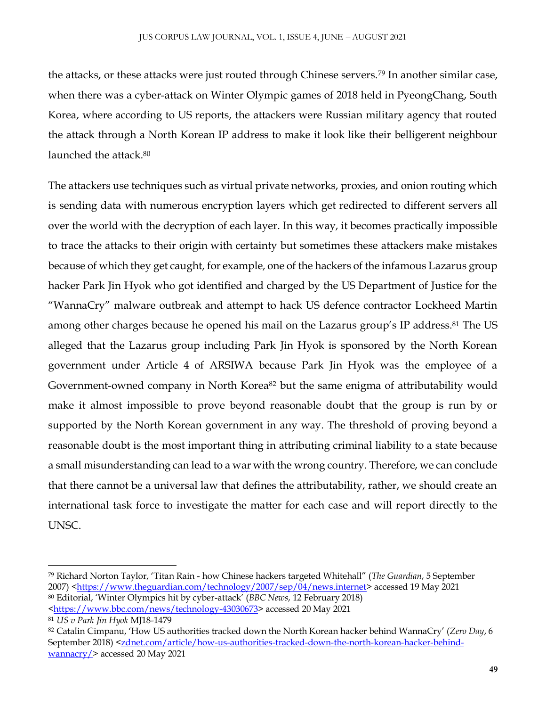the attacks, or these attacks were just routed through Chinese servers.<sup>79</sup> In another similar case, when there was a cyber-attack on Winter Olympic games of 2018 held in PyeongChang, South Korea, where according to US reports, the attackers were Russian military agency that routed the attack through a North Korean IP address to make it look like their belligerent neighbour launched the attack.<sup>80</sup>

The attackers use techniques such as virtual private networks, proxies, and onion routing which is sending data with numerous encryption layers which get redirected to different servers all over the world with the decryption of each layer. In this way, it becomes practically impossible to trace the attacks to their origin with certainty but sometimes these attackers make mistakes because of which they get caught, for example, one of the hackers of the infamous Lazarus group hacker Park Jin Hyok who got identified and charged by the US Department of Justice for the "WannaCry" malware outbreak and attempt to hack US defence contractor Lockheed Martin among other charges because he opened his mail on the Lazarus group's IP address.<sup>81</sup> The US alleged that the Lazarus group including Park Jin Hyok is sponsored by the North Korean government under Article 4 of ARSIWA because Park Jin Hyok was the employee of a Government-owned company in North Korea<sup>82</sup> but the same enigma of attributability would make it almost impossible to prove beyond reasonable doubt that the group is run by or supported by the North Korean government in any way. The threshold of proving beyond a reasonable doubt is the most important thing in attributing criminal liability to a state because a small misunderstanding can lead to a war with the wrong country. Therefore, we can conclude that there cannot be a universal law that defines the attributability, rather, we should create an international task force to investigate the matter for each case and will report directly to the UNSC.

<sup>79</sup> Richard Norton Taylor, 'Titan Rain - how Chinese hackers targeted Whitehall" (*The Guardian*, 5 September 2007) [<https://www.theguardian.com/technology/2007/sep/04/news.internet>](https://www.theguardian.com/technology/2007/sep/04/news.internet) accessed 19 May 2021

<sup>80</sup> Editorial, 'Winter Olympics hit by cyber-attack' (*BBC News*, 12 February 2018) [<https://www.bbc.com/news/technology-43030673>](https://www.bbc.com/news/technology-43030673) accessed 20 May 2021

<sup>81</sup> *US v Park Jin Hyok* MJ18-1479

<sup>82</sup> Catalin Cimpanu, 'How US authorities tracked down the North Korean hacker behind WannaCry' (*Zero Day*, 6 September 2018) [<zdnet.com/article/how-us-authorities-tracked-down-the-north-korean-hacker-behind](zdnet.com/article/how-us-authorities-tracked-down-the-north-korean-hacker-behind-wannacry/)[wannacry/>](zdnet.com/article/how-us-authorities-tracked-down-the-north-korean-hacker-behind-wannacry/) accessed 20 May 2021